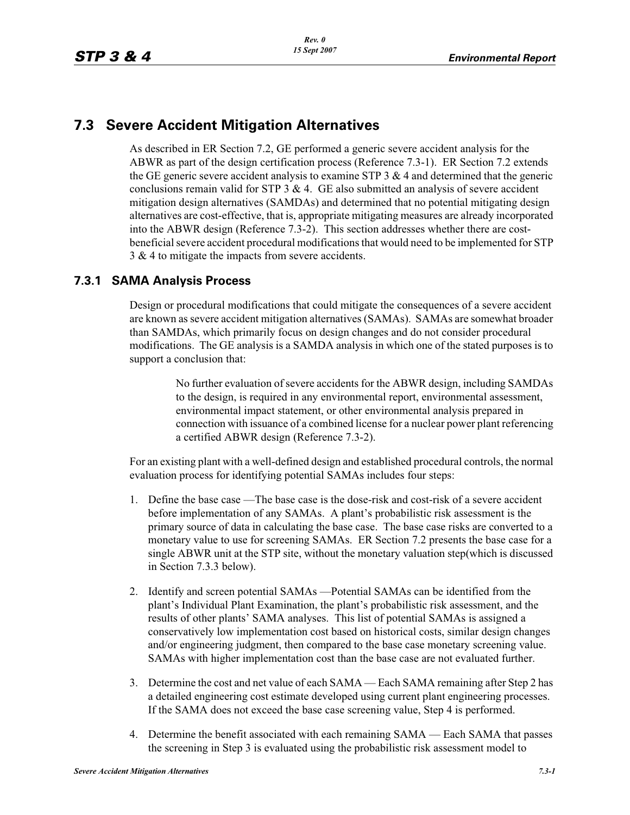# **7.3 Severe Accident Mitigation Alternatives**

As described in ER Section 7.2, GE performed a generic severe accident analysis for the ABWR as part of the design certification process (Reference 7.3-1). ER Section 7.2 extends the GE generic severe accident analysis to examine STP  $3 \& 4$  and determined that the generic conclusions remain valid for STP  $3 \& 4$ . GE also submitted an analysis of severe accident mitigation design alternatives (SAMDAs) and determined that no potential mitigating design alternatives are cost-effective, that is, appropriate mitigating measures are already incorporated into the ABWR design (Reference 7.3-2). This section addresses whether there are costbeneficial severe accident procedural modifications that would need to be implemented for STP 3 & 4 to mitigate the impacts from severe accidents.

## **7.3.1 SAMA Analysis Process**

Design or procedural modifications that could mitigate the consequences of a severe accident are known as severe accident mitigation alternatives (SAMAs). SAMAs are somewhat broader than SAMDAs, which primarily focus on design changes and do not consider procedural modifications. The GE analysis is a SAMDA analysis in which one of the stated purposes is to support a conclusion that:

> No further evaluation of severe accidents for the ABWR design, including SAMDAs to the design, is required in any environmental report, environmental assessment, environmental impact statement, or other environmental analysis prepared in connection with issuance of a combined license for a nuclear power plant referencing a certified ABWR design (Reference 7.3-2).

For an existing plant with a well-defined design and established procedural controls, the normal evaluation process for identifying potential SAMAs includes four steps:

- 1. Define the base case —The base case is the dose-risk and cost-risk of a severe accident before implementation of any SAMAs. A plant's probabilistic risk assessment is the primary source of data in calculating the base case. The base case risks are converted to a monetary value to use for screening SAMAs. ER Section 7.2 presents the base case for a single ABWR unit at the STP site, without the monetary valuation step(which is discussed in Section 7.3.3 below).
- 2. Identify and screen potential SAMAs —Potential SAMAs can be identified from the plant's Individual Plant Examination, the plant's probabilistic risk assessment, and the results of other plants' SAMA analyses. This list of potential SAMAs is assigned a conservatively low implementation cost based on historical costs, similar design changes and/or engineering judgment, then compared to the base case monetary screening value. SAMAs with higher implementation cost than the base case are not evaluated further.
- 3. Determine the cost and net value of each SAMA Each SAMA remaining after Step 2 has a detailed engineering cost estimate developed using current plant engineering processes. If the SAMA does not exceed the base case screening value, Step 4 is performed.
- 4. Determine the benefit associated with each remaining SAMA Each SAMA that passes the screening in Step 3 is evaluated using the probabilistic risk assessment model to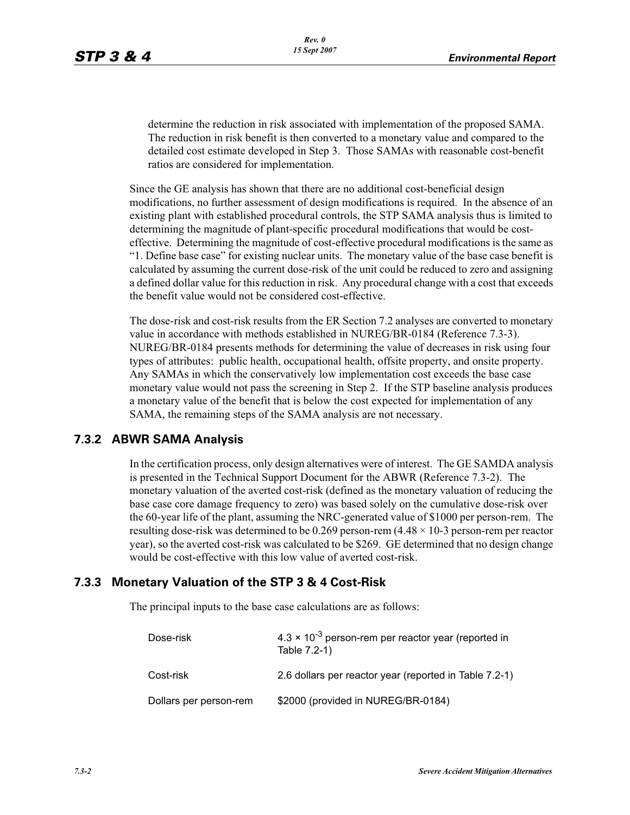determine the reduction in risk associated with implementation of the proposed SAMA. The reduction in risk benefit is then converted to a monetary value and compared to the detailed cost estimate developed in Step 3. Those SAMAs with reasonable cost-benefit ratios are considered for implementation.

Since the GE analysis has shown that there are no additional cost-beneficial design modifications, no further assessment of design modifications is required. In the absence of an existing plant with established procedural controls, the STP SAMA analysis thus is limited to determining the magnitude of plant-specific procedural modifications that would be costeffective. Determining the magnitude of cost-effective procedural modifications is the same as "1. Define base case" for existing nuclear units. The monetary value of the base case benefit is calculated by assuming the current dose-risk of the unit could be reduced to zero and assigning a defined dollar value for this reduction in risk. Any procedural change with a cost that exceeds the benefit value would not be considered cost-effective.

The dose-risk and cost-risk results from the ER Section 7.2 analyses are converted to monetary value in accordance with methods established in NUREG/BR-0184 (Reference 7.3-3). NUREG/BR-0184 presents methods for determining the value of decreases in risk using four types of attributes: public health, occupational health, offsite property, and onsite property. Any SAMAs in which the conservatively low implementation cost exceeds the base case monetary value would not pass the screening in Step 2. If the STP baseline analysis produces a monetary value of the benefit that is below the cost expected for implementation of any SAMA, the remaining steps of the SAMA analysis are not necessary.

#### **7.3.2 ABWR SAMA Analysis**

In the certification process, only design alternatives were of interest. The GE SAMDA analysis is presented in the Technical Support Document for the ABWR (Reference 7.3-2). The monetary valuation of the averted cost-risk (defined as the monetary valuation of reducing the base case core damage frequency to zero) was based solely on the cumulative dose-risk over the 60-year life of the plant, assuming the NRC-generated value of \$1000 per person-rem. The resulting dose-risk was determined to be 0.269 person-rem  $(4.48 \times 10^{-3})$  person-rem per reactor year), so the averted cost-risk was calculated to be \$269. GE determined that no design change would be cost-effective with this low value of averted cost-risk.

#### **7.3.3 Monetary Valuation of the STP 3 & 4 Cost-Risk**

The principal inputs to the base case calculations are as follows:

| Dose-risk              | $4.3 \times 10^{-3}$ person-rem per reactor year (reported in<br>Table 7.2-1) |  |
|------------------------|-------------------------------------------------------------------------------|--|
| Cost-risk              | 2.6 dollars per reactor year (reported in Table 7.2-1)                        |  |
| Dollars per person-rem | \$2000 (provided in NUREG/BR-0184)                                            |  |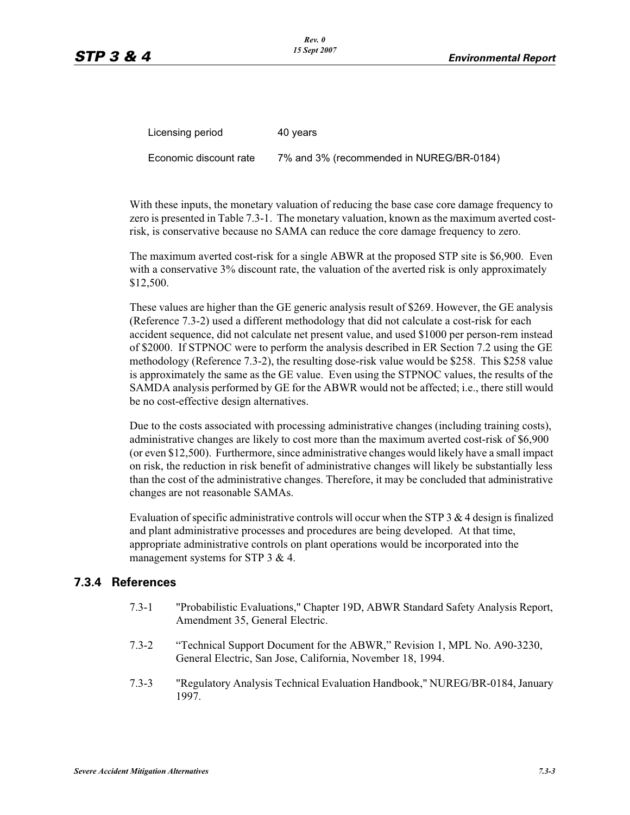| Licensing period       | 40 years                                 |
|------------------------|------------------------------------------|
| Economic discount rate | 7% and 3% (recommended in NUREG/BR-0184) |

With these inputs, the monetary valuation of reducing the base case core damage frequency to zero is presented in Table 7.3-1. The monetary valuation, known as the maximum averted costrisk, is conservative because no SAMA can reduce the core damage frequency to zero.

The maximum averted cost-risk for a single ABWR at the proposed STP site is \$6,900. Even with a conservative 3% discount rate, the valuation of the averted risk is only approximately \$12,500.

These values are higher than the GE generic analysis result of \$269. However, the GE analysis (Reference 7.3-2) used a different methodology that did not calculate a cost-risk for each accident sequence, did not calculate net present value, and used \$1000 per person-rem instead of \$2000. If STPNOC were to perform the analysis described in ER Section 7.2 using the GE methodology (Reference 7.3-2), the resulting dose-risk value would be \$258. This \$258 value is approximately the same as the GE value. Even using the STPNOC values, the results of the SAMDA analysis performed by GE for the ABWR would not be affected; i.e., there still would be no cost-effective design alternatives.

Due to the costs associated with processing administrative changes (including training costs), administrative changes are likely to cost more than the maximum averted cost-risk of \$6,900 (or even \$12,500). Furthermore, since administrative changes would likely have a small impact on risk, the reduction in risk benefit of administrative changes will likely be substantially less than the cost of the administrative changes. Therefore, it may be concluded that administrative changes are not reasonable SAMAs.

Evaluation of specific administrative controls will occur when the STP  $3 \& 4$  design is finalized and plant administrative processes and procedures are being developed. At that time, appropriate administrative controls on plant operations would be incorporated into the management systems for STP 3 & 4.

#### **7.3.4 References**

- 7.3-1 "Probabilistic Evaluations," Chapter 19D, ABWR Standard Safety Analysis Report, Amendment 35, General Electric.
- 7.3-2 "Technical Support Document for the ABWR," Revision 1, MPL No. A90-3230, General Electric, San Jose, California, November 18, 1994.
- 7.3-3 "Regulatory Analysis Technical Evaluation Handbook," NUREG/BR-0184, January 1997.